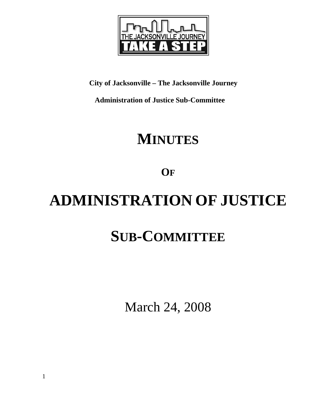

### **City of Jacksonville – The Jacksonville Journey**

 **Administration of Justice Sub-Committee** 

## **MINUTES**

**OF**

# **ADMINISTRATION OF JUSTICE SUB-COMMITTEE**

March 24, 2008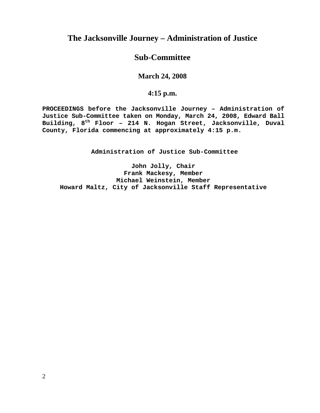#### **The Jacksonville Journey – Administration of Justice**

#### **Sub-Committee**

#### **March 24, 2008**

#### **4:15 p.m.**

**PROCEEDINGS before the Jacksonville Journey – Administration of Justice Sub-Committee taken on Monday, March 24, 2008, Edward Ball Building, 8th Floor – 214 N. Hogan Street, Jacksonville, Duval County, Florida commencing at approximately 4:15 p.m.** 

**Administration of Justice Sub-Committee** 

**John Jolly, Chair Frank Mackesy, Member Michael Weinstein, Member Howard Maltz, City of Jacksonville Staff Representative**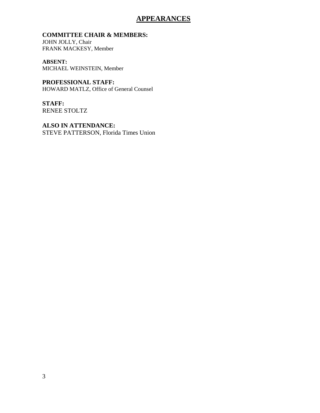#### **APPEARANCES**

#### **COMMITTEE CHAIR & MEMBERS:**

JOHN JOLLY, Chair FRANK MACKESY, Member

**ABSENT:**  MICHAEL WEINSTEIN, Member

**PROFESSIONAL STAFF:** HOWARD MATLZ, Office of General Counsel

**STAFF:**  RENEE STOLTZ

**ALSO IN ATTENDANCE:** STEVE PATTERSON, Florida Times Union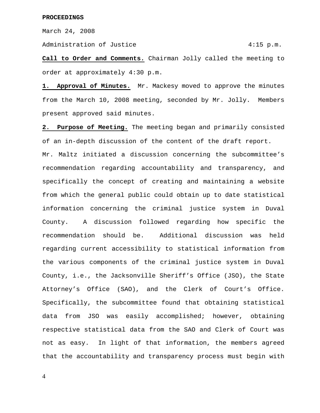March 24, 2008

Administration of Justice 4:15 p.m.

**Call to Order and Comments.** Chairman Jolly called the meeting to order at approximately 4:30 p.m.

1. Approval of Minutes. Mr. Mackesy moved to approve the minutes from the March 10, 2008 meeting, seconded by Mr. Jolly. Members present approved said minutes.

**2. Purpose of Meeting.** The meeting began and primarily consisted of an in-depth discussion of the content of the draft report.

Mr. Maltz initiated a discussion concerning the subcommittee's recommendation regarding accountability and transparency, and specifically the concept of creating and maintaining a website from which the general public could obtain up to date statistical information concerning the criminal justice system in Duval County. A discussion followed regarding how specific the recommendation should be. Additional discussion was held regarding current accessibility to statistical information from the various components of the criminal justice system in Duval County, i.e., the Jacksonville Sheriff's Office (JSO), the State Attorney's Office (SAO), and the Clerk of Court's Office. Specifically, the subcommittee found that obtaining statistical data from JSO was easily accomplished; however, obtaining respective statistical data from the SAO and Clerk of Court was not as easy. In light of that information, the members agreed that the accountability and transparency process must begin with

4